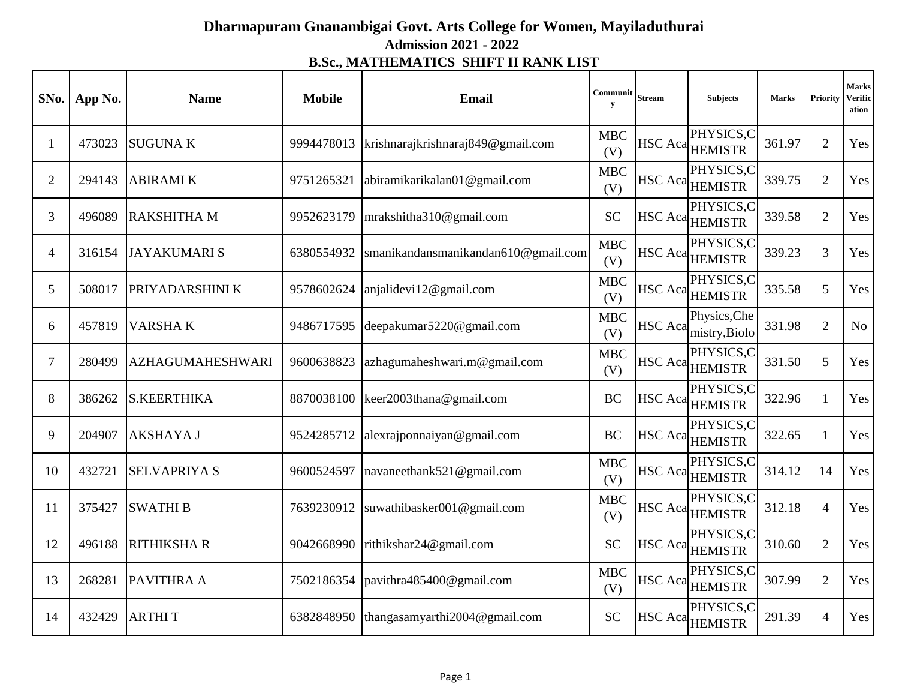## **Dharmapuram Gnanambigai Govt. Arts College for Women, Mayiladuthurai Admission 2021 - 2022 B.Sc., MATHEMATICS SHIFT II RANK LIST**

| SNo.           | App No. | <b>Name</b>             | <b>Mobile</b> | Email                                    | Communit<br>y     | <b>Stream</b>  | <b>Subjects</b>               | <b>Marks</b> | <b>Priority</b> | <b>Marks</b><br><b>Verific</b><br>ation |
|----------------|---------|-------------------------|---------------|------------------------------------------|-------------------|----------------|-------------------------------|--------------|-----------------|-----------------------------------------|
| $\mathbf{1}$   | 473023  | <b>SUGUNAK</b>          | 9994478013    | krishnarajkrishnaraj849@gmail.com        | <b>MBC</b><br>(V) | HSC Aca        | PHYSICS,C<br><b>HEMISTR</b>   | 361.97       | $\overline{2}$  | Yes                                     |
| $\overline{2}$ | 294143  | <b>ABIRAMI K</b>        | 9751265321    | abiramikarikalan01@gmail.com             | <b>MBC</b><br>(V) |                | PHYSICS,C<br>HSC Aca HEMISTR  | 339.75       | $\overline{2}$  | Yes                                     |
| 3              | 496089  | <b>RAKSHITHA M</b>      | 9952623179    | $mr$ akshitha310@gmail.com               | <b>SC</b>         |                | PHYSICS,C<br>HSC Aca HEMISTR  | 339.58       | $\overline{2}$  | Yes                                     |
| $\overline{4}$ | 316154  | JAYAKUMARI S            | 6380554932    | smanikandansmanikandan610@gmail.com      | <b>MBC</b><br>(V) |                | PHYSICS,C<br>HSC Aca HEMISTR  | 339.23       | 3               | Yes                                     |
| 5              | 508017  | PRIYADARSHINI K         | 9578602624    | anjalidevi12@gmail.com                   | <b>MBC</b><br>(V) |                | PHYSICS,C<br>HSC Aca HEMISTR  | 335.58       | 5               | Yes                                     |
| 6              | 457819  | <b>VARSHAK</b>          |               | 9486717595 deepakumar5220@gmail.com      | <b>MBC</b><br>(V) | HSC Aca        | Physics, Che<br>mistry, Biolo | 331.98       | $\overline{2}$  | No                                      |
| $\tau$         | 280499  | <b>AZHAGUMAHESHWARI</b> | 9600638823    | azhagumaheshwari.m@gmail.com             | <b>MBC</b><br>(V) | HSC Aca        | PHYSICS,C<br><b>HEMISTR</b>   | 331.50       | 5               | Yes                                     |
| 8              | 386262  | <b>S.KEERTHIKA</b>      |               | 8870038100 keer2003thana@gmail.com       | <b>BC</b>         |                | PHYSICS,C<br>HSC Aca HEMISTR  | 322.96       | $\mathbf{1}$    | Yes                                     |
| 9              | 204907  | <b>AKSHAYAJ</b>         | 9524285712    | alexrajponnaiyan@gmail.com               | <b>BC</b>         | <b>HSC</b> Aca | PHYSICS,C<br><b>HEMISTR</b>   | 322.65       | $\mathbf{1}$    | Yes                                     |
| 10             | 432721  | <b>SELVAPRIYAS</b>      | 9600524597    | navaneethank521@gmail.com                | <b>MBC</b><br>(V) |                | PHYSICS,C<br>HSC Aca HEMISTR  | 314.12       | 14              | Yes                                     |
| 11             | 375427  | <b>SWATHIB</b>          | 7639230912    | suwathibasker001@gmail.com               | <b>MBC</b><br>(V) | HSC Aca        | PHYSICS,C<br><b>HEMISTR</b>   | 312.18       | $\overline{4}$  | Yes                                     |
| 12             | 496188  | <b>RITHIKSHAR</b>       | 9042668990    | rithikshar24@gmail.com                   | <b>SC</b>         | HSC Aca        | PHYSICS,C<br><b>HEMISTR</b>   | 310.60       | $\overline{2}$  | Yes                                     |
| 13             | 268281  | PAVITHRA A              | 7502186354    | pavithra485400@gmail.com                 | <b>MBC</b><br>(V) |                | PHYSICS,C<br>HSC Aca HEMISTR  | 307.99       | $\overline{2}$  | Yes                                     |
| 14             | 432429  | <b>ARTHIT</b>           |               | 6382848950 thangasamyarthi2004@gmail.com | <b>SC</b>         |                | PHYSICS,C<br>HSC Aca HEMISTR  | 291.39       | $\overline{4}$  | Yes                                     |